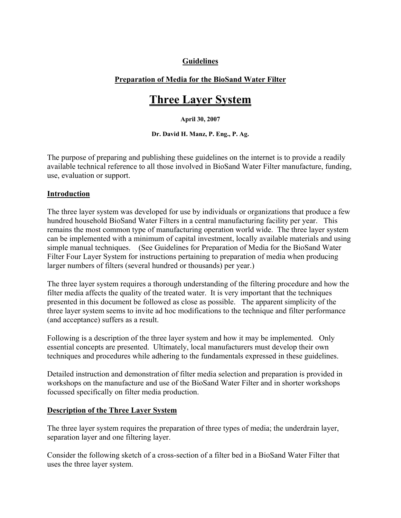# **Guidelines**

## **Preparation of Media for the BioSand Water Filter**

# **Three Layer System**

**April 30, 2007** 

**Dr. David H. Manz, P. Eng., P. Ag.** 

The purpose of preparing and publishing these guidelines on the internet is to provide a readily available technical reference to all those involved in BioSand Water Filter manufacture, funding, use, evaluation or support.

## **Introduction**

The three layer system was developed for use by individuals or organizations that produce a few hundred household BioSand Water Filters in a central manufacturing facility per year. This remains the most common type of manufacturing operation world wide. The three layer system can be implemented with a minimum of capital investment, locally available materials and using simple manual techniques. (See Guidelines for Preparation of Media for the BioSand Water Filter Four Layer System for instructions pertaining to preparation of media when producing larger numbers of filters (several hundred or thousands) per year.)

The three layer system requires a thorough understanding of the filtering procedure and how the filter media affects the quality of the treated water. It is very important that the techniques presented in this document be followed as close as possible. The apparent simplicity of the three layer system seems to invite ad hoc modifications to the technique and filter performance (and acceptance) suffers as a result.

Following is a description of the three layer system and how it may be implemented. Only essential concepts are presented. Ultimately, local manufacturers must develop their own techniques and procedures while adhering to the fundamentals expressed in these guidelines.

Detailed instruction and demonstration of filter media selection and preparation is provided in workshops on the manufacture and use of the BioSand Water Filter and in shorter workshops focussed specifically on filter media production.

## **Description of the Three Layer System**

The three layer system requires the preparation of three types of media; the underdrain layer, separation layer and one filtering layer.

Consider the following sketch of a cross-section of a filter bed in a BioSand Water Filter that uses the three layer system.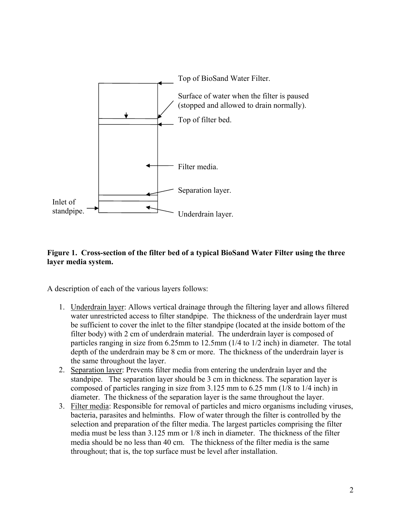

## **Figure 1. Cross-section of the filter bed of a typical BioSand Water Filter using the three layer media system.**

A description of each of the various layers follows:

- 1. Underdrain layer: Allows vertical drainage through the filtering layer and allows filtered water unrestricted access to filter standpipe. The thickness of the underdrain layer must be sufficient to cover the inlet to the filter standpipe (located at the inside bottom of the filter body) with 2 cm of underdrain material. The underdrain layer is composed of particles ranging in size from 6.25mm to 12.5mm (1/4 to 1/2 inch) in diameter. The total depth of the underdrain may be 8 cm or more. The thickness of the underdrain layer is the same throughout the layer.
- 2. Separation layer: Prevents filter media from entering the underdrain layer and the standpipe. The separation layer should be 3 cm in thickness. The separation layer is composed of particles ranging in size from 3.125 mm to 6.25 mm (1/8 to 1/4 inch) in diameter. The thickness of the separation layer is the same throughout the layer.
- 3. Filter media: Responsible for removal of particles and micro organisms including viruses, bacteria, parasites and helminths. Flow of water through the filter is controlled by the selection and preparation of the filter media. The largest particles comprising the filter media must be less than 3.125 mm or 1/8 inch in diameter. The thickness of the filter media should be no less than 40 cm. The thickness of the filter media is the same throughout; that is, the top surface must be level after installation.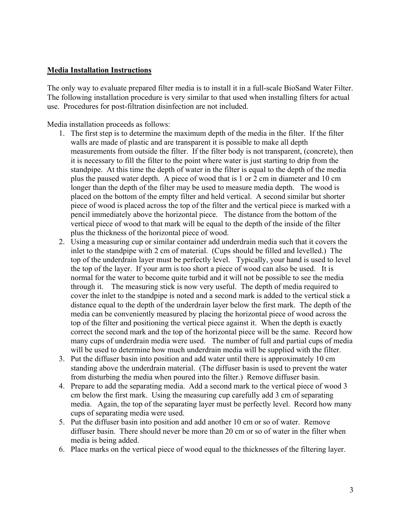#### **Media Installation Instructions**

The only way to evaluate prepared filter media is to install it in a full-scale BioSand Water Filter. The following installation procedure is very similar to that used when installing filters for actual use. Procedures for post-filtration disinfection are not included.

Media installation proceeds as follows:

- 1. The first step is to determine the maximum depth of the media in the filter. If the filter walls are made of plastic and are transparent it is possible to make all depth measurements from outside the filter. If the filter body is not transparent, (concrete), then it is necessary to fill the filter to the point where water is just starting to drip from the standpipe. At this time the depth of water in the filter is equal to the depth of the media plus the paused water depth. A piece of wood that is 1 or 2 cm in diameter and 10 cm longer than the depth of the filter may be used to measure media depth. The wood is placed on the bottom of the empty filter and held vertical. A second similar but shorter piece of wood is placed across the top of the filter and the vertical piece is marked with a pencil immediately above the horizontal piece. The distance from the bottom of the vertical piece of wood to that mark will be equal to the depth of the inside of the filter plus the thickness of the horizontal piece of wood.
- 2. Using a measuring cup or similar container add underdrain media such that it covers the inlet to the standpipe with 2 cm of material. (Cups should be filled and levelled.) The top of the underdrain layer must be perfectly level. Typically, your hand is used to level the top of the layer. If your arm is too short a piece of wood can also be used. It is normal for the water to become quite turbid and it will not be possible to see the media through it. The measuring stick is now very useful. The depth of media required to cover the inlet to the standpipe is noted and a second mark is added to the vertical stick a distance equal to the depth of the underdrain layer below the first mark. The depth of the media can be conveniently measured by placing the horizontal piece of wood across the top of the filter and positioning the vertical piece against it. When the depth is exactly correct the second mark and the top of the horizontal piece will be the same. Record how many cups of underdrain media were used. The number of full and partial cups of media will be used to determine how much underdrain media will be supplied with the filter.
- 3. Put the diffuser basin into position and add water until there is approximately 10 cm standing above the underdrain material. (The diffuser basin is used to prevent the water from disturbing the media when poured into the filter.) Remove diffuser basin.
- 4. Prepare to add the separating media. Add a second mark to the vertical piece of wood 3 cm below the first mark. Using the measuring cup carefully add 3 cm of separating media. Again, the top of the separating layer must be perfectly level. Record how many cups of separating media were used.
- 5. Put the diffuser basin into position and add another 10 cm or so of water. Remove diffuser basin. There should never be more than 20 cm or so of water in the filter when media is being added.
- 6. Place marks on the vertical piece of wood equal to the thicknesses of the filtering layer.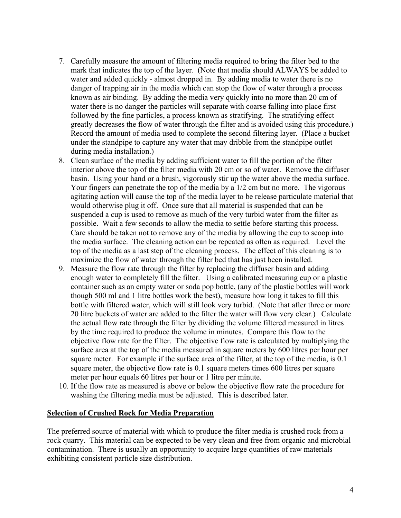- 7. Carefully measure the amount of filtering media required to bring the filter bed to the mark that indicates the top of the layer. (Note that media should ALWAYS be added to water and added quickly - almost dropped in. By adding media to water there is no danger of trapping air in the media which can stop the flow of water through a process known as air binding. By adding the media very quickly into no more than 20 cm of water there is no danger the particles will separate with coarse falling into place first followed by the fine particles, a process known as stratifying. The stratifying effect greatly decreases the flow of water through the filter and is avoided using this procedure.) Record the amount of media used to complete the second filtering layer. (Place a bucket under the standpipe to capture any water that may dribble from the standpipe outlet during media installation.)
- 8. Clean surface of the media by adding sufficient water to fill the portion of the filter interior above the top of the filter media with 20 cm or so of water. Remove the diffuser basin. Using your hand or a brush, vigorously stir up the water above the media surface. Your fingers can penetrate the top of the media by a 1/2 cm but no more. The vigorous agitating action will cause the top of the media layer to be release particulate material that would otherwise plug it off. Once sure that all material is suspended that can be suspended a cup is used to remove as much of the very turbid water from the filter as possible. Wait a few seconds to allow the media to settle before starting this process. Care should be taken not to remove any of the media by allowing the cup to scoop into the media surface. The cleaning action can be repeated as often as required. Level the top of the media as a last step of the cleaning process. The effect of this cleaning is to maximize the flow of water through the filter bed that has just been installed.
- 9. Measure the flow rate through the filter by replacing the diffuser basin and adding enough water to completely fill the filter. Using a calibrated measuring cup or a plastic container such as an empty water or soda pop bottle, (any of the plastic bottles will work though 500 ml and 1 litre bottles work the best), measure how long it takes to fill this bottle with filtered water, which will still look very turbid. (Note that after three or more 20 litre buckets of water are added to the filter the water will flow very clear.) Calculate the actual flow rate through the filter by dividing the volume filtered measured in litres by the time required to produce the volume in minutes. Compare this flow to the objective flow rate for the filter. The objective flow rate is calculated by multiplying the surface area at the top of the media measured in square meters by 600 litres per hour per square meter. For example if the surface area of the filter, at the top of the media, is 0.1 square meter, the objective flow rate is 0.1 square meters times 600 litres per square meter per hour equals 60 litres per hour or 1 litre per minute.
- 10. If the flow rate as measured is above or below the objective flow rate the procedure for washing the filtering media must be adjusted. This is described later.

#### **Selection of Crushed Rock for Media Preparation**

The preferred source of material with which to produce the filter media is crushed rock from a rock quarry. This material can be expected to be very clean and free from organic and microbial contamination. There is usually an opportunity to acquire large quantities of raw materials exhibiting consistent particle size distribution.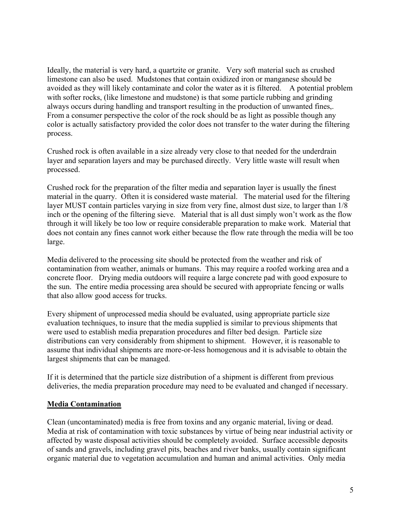Ideally, the material is very hard, a quartzite or granite. Very soft material such as crushed limestone can also be used. Mudstones that contain oxidized iron or manganese should be avoided as they will likely contaminate and color the water as it is filtered. A potential problem with softer rocks, (like limestone and mudstone) is that some particle rubbing and grinding always occurs during handling and transport resulting in the production of unwanted fines,. From a consumer perspective the color of the rock should be as light as possible though any color is actually satisfactory provided the color does not transfer to the water during the filtering process.

Crushed rock is often available in a size already very close to that needed for the underdrain layer and separation layers and may be purchased directly. Very little waste will result when processed.

Crushed rock for the preparation of the filter media and separation layer is usually the finest material in the quarry. Often it is considered waste material. The material used for the filtering layer MUST contain particles varying in size from very fine, almost dust size, to larger than 1/8 inch or the opening of the filtering sieve. Material that is all dust simply won't work as the flow through it will likely be too low or require considerable preparation to make work. Material that does not contain any fines cannot work either because the flow rate through the media will be too large.

Media delivered to the processing site should be protected from the weather and risk of contamination from weather, animals or humans. This may require a roofed working area and a concrete floor. Drying media outdoors will require a large concrete pad with good exposure to the sun. The entire media processing area should be secured with appropriate fencing or walls that also allow good access for trucks.

Every shipment of unprocessed media should be evaluated, using appropriate particle size evaluation techniques, to insure that the media supplied is similar to previous shipments that were used to establish media preparation procedures and filter bed design. Particle size distributions can very considerably from shipment to shipment. However, it is reasonable to assume that individual shipments are more-or-less homogenous and it is advisable to obtain the largest shipments that can be managed.

If it is determined that the particle size distribution of a shipment is different from previous deliveries, the media preparation procedure may need to be evaluated and changed if necessary.

#### **Media Contamination**

Clean (uncontaminated) media is free from toxins and any organic material, living or dead. Media at risk of contamination with toxic substances by virtue of being near industrial activity or affected by waste disposal activities should be completely avoided. Surface accessible deposits of sands and gravels, including gravel pits, beaches and river banks, usually contain significant organic material due to vegetation accumulation and human and animal activities. Only media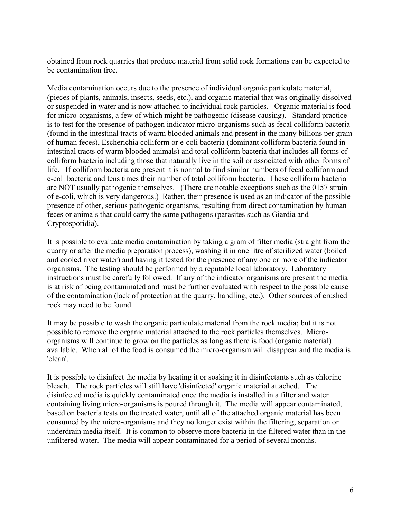obtained from rock quarries that produce material from solid rock formations can be expected to be contamination free.

Media contamination occurs due to the presence of individual organic particulate material, (pieces of plants, animals, insects, seeds, etc.), and organic material that was originally dissolved or suspended in water and is now attached to individual rock particles. Organic material is food for micro-organisms, a few of which might be pathogenic (disease causing). Standard practice is to test for the presence of pathogen indicator micro-organisms such as fecal colliform bacteria (found in the intestinal tracts of warm blooded animals and present in the many billions per gram of human feces), Escherichia colliform or e-coli bacteria (dominant colliform bacteria found in intestinal tracts of warm blooded animals) and total colliform bacteria that includes all forms of colliform bacteria including those that naturally live in the soil or associated with other forms of life. If colliform bacteria are present it is normal to find similar numbers of fecal colliform and e-coli bacteria and tens times their number of total colliform bacteria. These colliform bacteria are NOT usually pathogenic themselves. (There are notable exceptions such as the 0157 strain of e-coli, which is very dangerous.) Rather, their presence is used as an indicator of the possible presence of other, serious pathogenic organisms, resulting from direct contamination by human feces or animals that could carry the same pathogens (parasites such as Giardia and Cryptosporidia).

It is possible to evaluate media contamination by taking a gram of filter media (straight from the quarry or after the media preparation process), washing it in one litre of sterilized water (boiled and cooled river water) and having it tested for the presence of any one or more of the indicator organisms. The testing should be performed by a reputable local laboratory. Laboratory instructions must be carefully followed. If any of the indicator organisms are present the media is at risk of being contaminated and must be further evaluated with respect to the possible cause of the contamination (lack of protection at the quarry, handling, etc.). Other sources of crushed rock may need to be found.

It may be possible to wash the organic particulate material from the rock media; but it is not possible to remove the organic material attached to the rock particles themselves. Microorganisms will continue to grow on the particles as long as there is food (organic material) available. When all of the food is consumed the micro-organism will disappear and the media is 'clean'.

It is possible to disinfect the media by heating it or soaking it in disinfectants such as chlorine bleach. The rock particles will still have 'disinfected' organic material attached. The disinfected media is quickly contaminated once the media is installed in a filter and water containing living micro-organisms is poured through it. The media will appear contaminated, based on bacteria tests on the treated water, until all of the attached organic material has been consumed by the micro-organisms and they no longer exist within the filtering, separation or underdrain media itself. It is common to observe more bacteria in the filtered water than in the unfiltered water. The media will appear contaminated for a period of several months.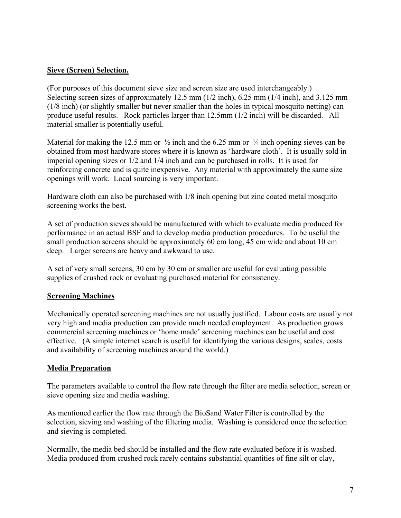## **Sieve (Screen) Selection.**

(For purposes of this document sieve size and screen size are used interchangeably.) Selecting screen sizes of approximately 12.5 mm (1/2 inch), 6.25 mm (1/4 inch), and 3.125 mm (1/8 inch) (or slightly smaller but never smaller than the holes in typical mosquito netting) can produce useful results. Rock particles larger than 12.5mm (1/2 inch) will be discarded. All material smaller is potentially useful.

Material for making the 12.5 mm or  $\frac{1}{2}$  inch and the 6.25 mm or  $\frac{1}{4}$  inch opening sieves can be obtained from most hardware stores where it is known as 'hardware cloth'. It is usually sold in imperial opening sizes or 1/2 and 1/4 inch and can be purchased in rolls. It is used for reinforcing concrete and is quite inexpensive. Any material with approximately the same size openings will work. Local sourcing is very important.

Hardware cloth can also be purchased with 1/8 inch opening but zinc coated metal mosquito screening works the best.

A set of production sieves should be manufactured with which to evaluate media produced for performance in an actual BSF and to develop media production procedures. To be useful the small production screens should be approximately 60 cm long, 45 cm wide and about 10 cm deep. Larger screens are heavy and awkward to use.

A set of very small screens, 30 cm by 30 cm or smaller are useful for evaluating possible supplies of crushed rock or evaluating purchased material for consistency.

## **Screening Machines**

Mechanically operated screening machines are not usually justified. Labour costs are usually not very high and media production can provide much needed employment. As production grows commercial screening machines or 'home made' screening machines can be useful and cost effective. (A simple internet search is useful for identifying the various designs, scales, costs and availability of screening machines around the world.)

#### **Media Preparation**

The parameters available to control the flow rate through the filter are media selection, screen or sieve opening size and media washing.

As mentioned earlier the flow rate through the BioSand Water Filter is controlled by the selection, sieving and washing of the filtering media. Washing is considered once the selection and sieving is completed.

Normally, the media bed should be installed and the flow rate evaluated before it is washed. Media produced from crushed rock rarely contains substantial quantities of fine silt or clay,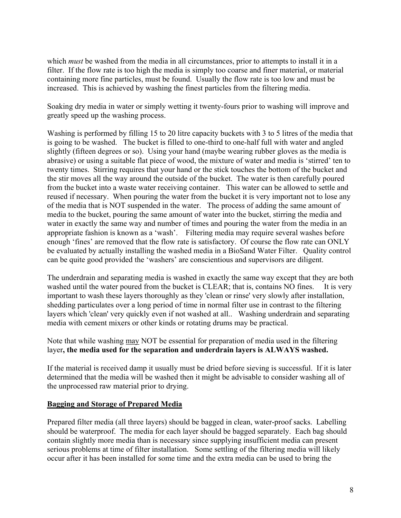which *must* be washed from the media in all circumstances, prior to attempts to install it in a filter. If the flow rate is too high the media is simply too coarse and finer material, or material containing more fine particles, must be found. Usually the flow rate is too low and must be increased. This is achieved by washing the finest particles from the filtering media.

Soaking dry media in water or simply wetting it twenty-fours prior to washing will improve and greatly speed up the washing process.

Washing is performed by filling 15 to 20 litre capacity buckets with 3 to 5 litres of the media that is going to be washed. The bucket is filled to one-third to one-half full with water and angled slightly (fifteen degrees or so). Using your hand (maybe wearing rubber gloves as the media is abrasive) or using a suitable flat piece of wood, the mixture of water and media is 'stirred' ten to twenty times. Stirring requires that your hand or the stick touches the bottom of the bucket and the stir moves all the way around the outside of the bucket. The water is then carefully poured from the bucket into a waste water receiving container. This water can be allowed to settle and reused if necessary. When pouring the water from the bucket it is very important not to lose any of the media that is NOT suspended in the water. The process of adding the same amount of media to the bucket, pouring the same amount of water into the bucket, stirring the media and water in exactly the same way and number of times and pouring the water from the media in an appropriate fashion is known as a 'wash'. Filtering media may require several washes before enough 'fines' are removed that the flow rate is satisfactory. Of course the flow rate can ONLY be evaluated by actually installing the washed media in a BioSand Water Filter. Quality control can be quite good provided the 'washers' are conscientious and supervisors are diligent.

The underdrain and separating media is washed in exactly the same way except that they are both washed until the water poured from the bucket is CLEAR; that is, contains NO fines. It is very important to wash these layers thoroughly as they 'clean or rinse' very slowly after installation, shedding particulates over a long period of time in normal filter use in contrast to the filtering layers which 'clean' very quickly even if not washed at all.. Washing underdrain and separating media with cement mixers or other kinds or rotating drums may be practical.

Note that while washing may NOT be essential for preparation of media used in the filtering layer**, the media used for the separation and underdrain layers is ALWAYS washed.** 

If the material is received damp it usually must be dried before sieving is successful. If it is later determined that the media will be washed then it might be advisable to consider washing all of the unprocessed raw material prior to drying.

#### **Bagging and Storage of Prepared Media**

Prepared filter media (all three layers) should be bagged in clean, water-proof sacks. Labelling should be waterproof. The media for each layer should be bagged separately. Each bag should contain slightly more media than is necessary since supplying insufficient media can present serious problems at time of filter installation. Some settling of the filtering media will likely occur after it has been installed for some time and the extra media can be used to bring the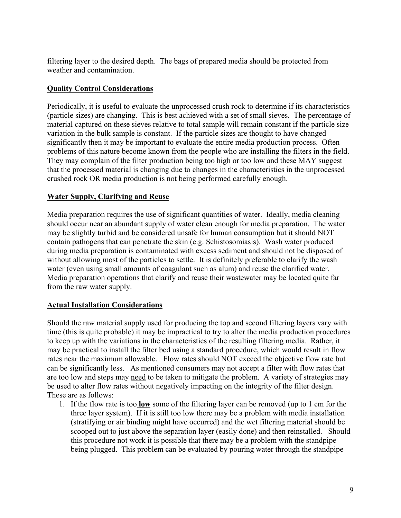filtering layer to the desired depth. The bags of prepared media should be protected from weather and contamination.

## **Quality Control Considerations**

Periodically, it is useful to evaluate the unprocessed crush rock to determine if its characteristics (particle sizes) are changing. This is best achieved with a set of small sieves. The percentage of material captured on these sieves relative to total sample will remain constant if the particle size variation in the bulk sample is constant. If the particle sizes are thought to have changed significantly then it may be important to evaluate the entire media production process. Often problems of this nature become known from the people who are installing the filters in the field. They may complain of the filter production being too high or too low and these MAY suggest that the processed material is changing due to changes in the characteristics in the unprocessed crushed rock OR media production is not being performed carefully enough.

## **Water Supply, Clarifying and Reuse**

Media preparation requires the use of significant quantities of water. Ideally, media cleaning should occur near an abundant supply of water clean enough for media preparation. The water may be slightly turbid and be considered unsafe for human consumption but it should NOT contain pathogens that can penetrate the skin (e.g. Schistosomiasis). Wash water produced during media preparation is contaminated with excess sediment and should not be disposed of without allowing most of the particles to settle. It is definitely preferable to clarify the wash water (even using small amounts of coagulant such as alum) and reuse the clarified water. Media preparation operations that clarify and reuse their wastewater may be located quite far from the raw water supply.

## **Actual Installation Considerations**

Should the raw material supply used for producing the top and second filtering layers vary with time (this is quite probable) it may be impractical to try to alter the media production procedures to keep up with the variations in the characteristics of the resulting filtering media. Rather, it may be practical to install the filter bed using a standard procedure, which would result in flow rates near the maximum allowable. Flow rates should NOT exceed the objective flow rate but can be significantly less. As mentioned consumers may not accept a filter with flow rates that are too low and steps may need to be taken to mitigate the problem. A variety of strategies may be used to alter flow rates without negatively impacting on the integrity of the filter design. These are as follows:

1. If the flow rate is too **low** some of the filtering layer can be removed (up to 1 cm for the three layer system). If it is still too low there may be a problem with media installation (stratifying or air binding might have occurred) and the wet filtering material should be scooped out to just above the separation layer (easily done) and then reinstalled. Should this procedure not work it is possible that there may be a problem with the standpipe being plugged. This problem can be evaluated by pouring water through the standpipe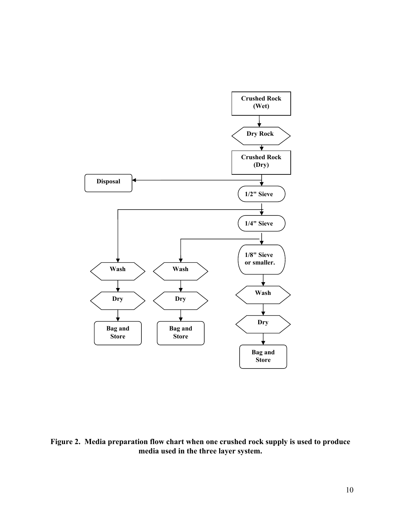

**Figure 2. Media preparation flow chart when one crushed rock supply is used to produce media used in the three layer system.**